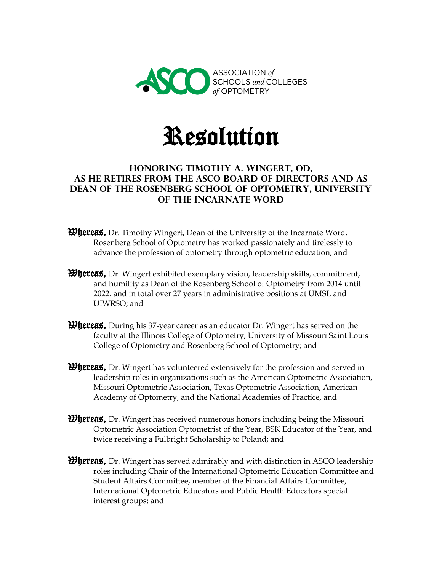



## **Honoring Timothy A. Wingert, OD, as he retires from the ASCO Board of Directors and as Dean of the Rosenberg School of Optometry, University of the Incarnate Word**

- **Whereas,** Dr. Timothy Wingert, Dean of the University of the Incarnate Word, Rosenberg School of Optometry has worked passionately and tirelessly to advance the profession of optometry through optometric education; and
- **Whereas,** Dr. Wingert exhibited exemplary vision, leadership skills, commitment, and humility as Dean of the Rosenberg School of Optometry from 2014 until 2022, and in total over 27 years in administrative positions at UMSL and UIWRSO; and
- **Whereas,** During his 37-year career as an educator Dr. Wingert has served on the faculty at the Illinois College of Optometry, University of Missouri Saint Louis College of Optometry and Rosenberg School of Optometry; and
- *Whereas*, Dr. Wingert has volunteered extensively for the profession and served in leadership roles in organizations such as the American Optometric Association, Missouri Optometric Association, Texas Optometric Association, American Academy of Optometry, and the National Academies of Practice, and
- *Whereas,* Dr. Wingert has received numerous honors including being the Missouri Optometric Association Optometrist of the Year, BSK Educator of the Year, and twice receiving a Fulbright Scholarship to Poland; and
- *Whereas*, Dr. Wingert has served admirably and with distinction in ASCO leadership roles including Chair of the International Optometric Education Committee and Student Affairs Committee, member of the Financial Affairs Committee, International Optometric Educators and Public Health Educators special interest groups; and